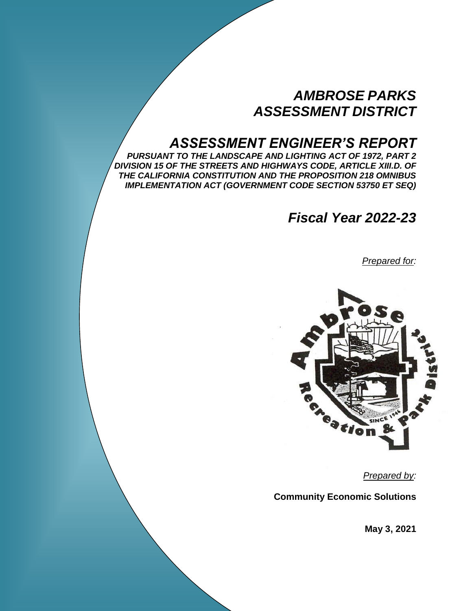# *AMBROSE PARKS ASSESSMENT DISTRICT*

# *ASSESSMENT ENGINEER'S REPORT*

*PURSUANT TO THE LANDSCAPE AND LIGHTING ACT OF 1972, PART 2 DIVISION 15 OF THE STREETS AND HIGHWAYS CODE, ARTICLE XIII.D. OF THE CALIFORNIA CONSTITUTION AND THE PROPOSITION 218 OMNIBUS IMPLEMENTATION ACT (GOVERNMENT CODE SECTION 53750 ET SEQ)* 

*Fiscal Year 2022-23*

*Prepared for:*



*Prepared by:*

**Community Economic Solutions**

**May 3, 2021**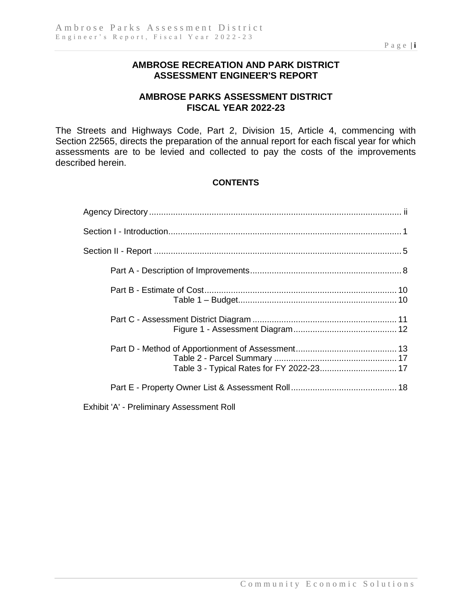## **AMBROSE RECREATION AND PARK DISTRICT ASSESSMENT ENGINEER'S REPORT**

# **AMBROSE PARKS ASSESSMENT DISTRICT FISCAL YEAR 2022-23**

The Streets and Highways Code, Part 2, Division 15, Article 4, commencing with Section 22565, directs the preparation of the annual report for each fiscal year for which assessments are to be levied and collected to pay the costs of the improvements described herein.

## **CONTENTS**

Exhibit 'A' - Preliminary Assessment Roll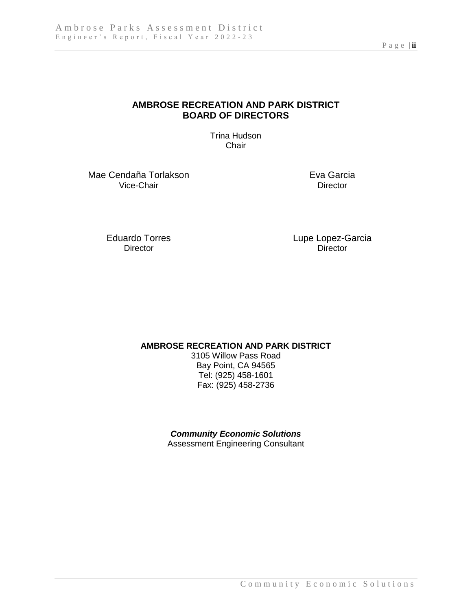## **AMBROSE RECREATION AND PARK DISTRICT BOARD OF DIRECTORS**

Trina Hudson **Chair** 

Mae Cendaña Torlakson<br>
Vice-Chair<br>
Director Vice-Chair

Director

Eduardo Torres Lupe Lopez-Garcia<br>
Director Director

**AMBROSE RECREATION AND PARK DISTRICT**

3105 Willow Pass Road Bay Point, CA 94565 Tel: (925) 458-1601 Fax: (925) 458-2736

*Community Economic Solutions* Assessment Engineering Consultant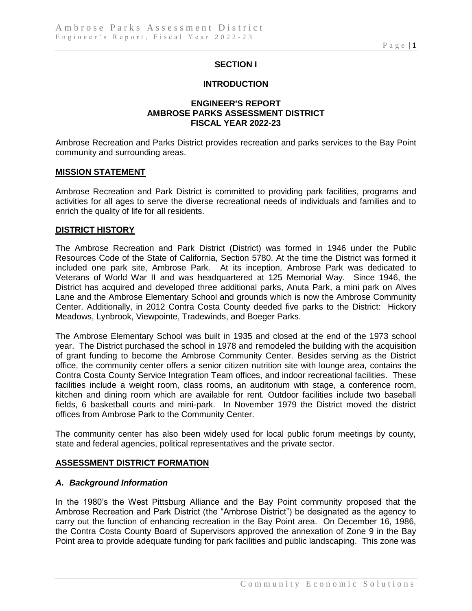## **SECTION I**

#### **INTRODUCTION**

#### **ENGINEER'S REPORT AMBROSE PARKS ASSESSMENT DISTRICT FISCAL YEAR 2022-23**

Ambrose Recreation and Parks District provides recreation and parks services to the Bay Point community and surrounding areas.

#### **MISSION STATEMENT**

Ambrose Recreation and Park District is committed to providing park facilities, programs and activities for all ages to serve the diverse recreational needs of individuals and families and to enrich the quality of life for all residents.

#### **DISTRICT HISTORY**

The Ambrose Recreation and Park District (District) was formed in 1946 under the Public Resources Code of the State of California, Section 5780. At the time the District was formed it included one park site, Ambrose Park. At its inception, Ambrose Park was dedicated to Veterans of World War II and was headquartered at 125 Memorial Way. Since 1946, the District has acquired and developed three additional parks, Anuta Park, a mini park on Alves Lane and the Ambrose Elementary School and grounds which is now the Ambrose Community Center. Additionally, in 2012 Contra Costa County deeded five parks to the District: Hickory Meadows, Lynbrook, Viewpointe, Tradewinds, and Boeger Parks.

The Ambrose Elementary School was built in 1935 and closed at the end of the 1973 school year. The District purchased the school in 1978 and remodeled the building with the acquisition of grant funding to become the Ambrose Community Center. Besides serving as the District office, the community center offers a senior citizen nutrition site with lounge area, contains the Contra Costa County Service Integration Team offices, and indoor recreational facilities. These facilities include a weight room, class rooms, an auditorium with stage, a conference room, kitchen and dining room which are available for rent. Outdoor facilities include two baseball fields, 6 basketball courts and mini-park. In November 1979 the District moved the district offices from Ambrose Park to the Community Center.

The community center has also been widely used for local public forum meetings by county, state and federal agencies, political representatives and the private sector.

#### **ASSESSMENT DISTRICT FORMATION**

#### *A. Background Information*

In the 1980's the West Pittsburg Alliance and the Bay Point community proposed that the Ambrose Recreation and Park District (the "Ambrose District") be designated as the agency to carry out the function of enhancing recreation in the Bay Point area. On December 16, 1986, the Contra Costa County Board of Supervisors approved the annexation of Zone 9 in the Bay Point area to provide adequate funding for park facilities and public landscaping. This zone was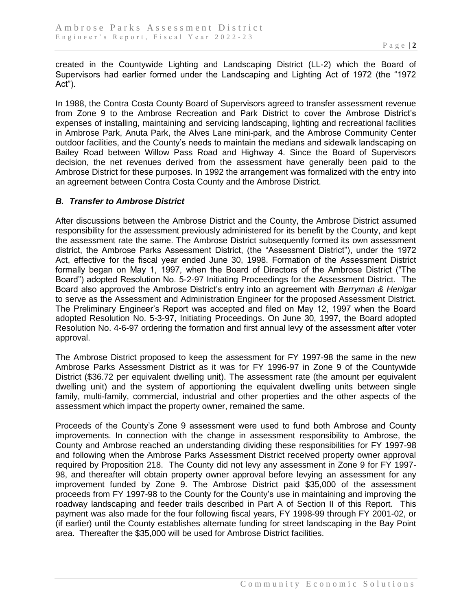created in the Countywide Lighting and Landscaping District (LL-2) which the Board of Supervisors had earlier formed under the Landscaping and Lighting Act of 1972 (the "1972 Act").

In 1988, the Contra Costa County Board of Supervisors agreed to transfer assessment revenue from Zone 9 to the Ambrose Recreation and Park District to cover the Ambrose District's expenses of installing, maintaining and servicing landscaping, lighting and recreational facilities in Ambrose Park, Anuta Park, the Alves Lane mini-park, and the Ambrose Community Center outdoor facilities, and the County's needs to maintain the medians and sidewalk landscaping on Bailey Road between Willow Pass Road and Highway 4. Since the Board of Supervisors decision, the net revenues derived from the assessment have generally been paid to the Ambrose District for these purposes. In 1992 the arrangement was formalized with the entry into an agreement between Contra Costa County and the Ambrose District.

#### *B. Transfer to Ambrose District*

After discussions between the Ambrose District and the County, the Ambrose District assumed responsibility for the assessment previously administered for its benefit by the County, and kept the assessment rate the same. The Ambrose District subsequently formed its own assessment district, the Ambrose Parks Assessment District, (the "Assessment District"), under the 1972 Act, effective for the fiscal year ended June 30, 1998. Formation of the Assessment District formally began on May 1, 1997, when the Board of Directors of the Ambrose District ("The Board") adopted Resolution No. 5-2-97 Initiating Proceedings for the Assessment District. The Board also approved the Ambrose District's entry into an agreement with *Berryman & Henigar* to serve as the Assessment and Administration Engineer for the proposed Assessment District. The Preliminary Engineer's Report was accepted and filed on May 12, 1997 when the Board adopted Resolution No. 5-3-97, Initiating Proceedings. On June 30, 1997, the Board adopted Resolution No. 4-6-97 ordering the formation and first annual levy of the assessment after voter approval.

The Ambrose District proposed to keep the assessment for FY 1997-98 the same in the new Ambrose Parks Assessment District as it was for FY 1996-97 in Zone 9 of the Countywide District (\$36.72 per equivalent dwelling unit). The assessment rate (the amount per equivalent dwelling unit) and the system of apportioning the equivalent dwelling units between single family, multi-family, commercial, industrial and other properties and the other aspects of the assessment which impact the property owner, remained the same.

Proceeds of the County's Zone 9 assessment were used to fund both Ambrose and County improvements. In connection with the change in assessment responsibility to Ambrose, the County and Ambrose reached an understanding dividing these responsibilities for FY 1997-98 and following when the Ambrose Parks Assessment District received property owner approval required by Proposition 218. The County did not levy any assessment in Zone 9 for FY 1997- 98, and thereafter will obtain property owner approval before levying an assessment for any improvement funded by Zone 9. The Ambrose District paid \$35,000 of the assessment proceeds from FY 1997-98 to the County for the County's use in maintaining and improving the roadway landscaping and feeder trails described in Part A of Section II of this Report. This payment was also made for the four following fiscal years, FY 1998-99 through FY 2001-02, or (if earlier) until the County establishes alternate funding for street landscaping in the Bay Point area. Thereafter the \$35,000 will be used for Ambrose District facilities.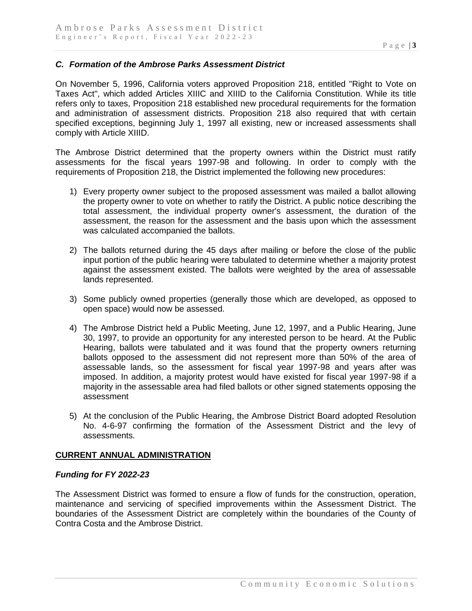#### *C. Formation of the Ambrose Parks Assessment District*

On November 5, 1996, California voters approved Proposition 218, entitled "Right to Vote on Taxes Act", which added Articles XIIIC and XIIID to the California Constitution. While its title refers only to taxes, Proposition 218 established new procedural requirements for the formation and administration of assessment districts. Proposition 218 also required that with certain specified exceptions, beginning July 1, 1997 all existing, new or increased assessments shall comply with Article XIIID.

The Ambrose District determined that the property owners within the District must ratify assessments for the fiscal years 1997-98 and following. In order to comply with the requirements of Proposition 218, the District implemented the following new procedures:

- 1) Every property owner subject to the proposed assessment was mailed a ballot allowing the property owner to vote on whether to ratify the District. A public notice describing the total assessment, the individual property owner's assessment, the duration of the assessment, the reason for the assessment and the basis upon which the assessment was calculated accompanied the ballots.
- 2) The ballots returned during the 45 days after mailing or before the close of the public input portion of the public hearing were tabulated to determine whether a majority protest against the assessment existed. The ballots were weighted by the area of assessable lands represented.
- 3) Some publicly owned properties (generally those which are developed, as opposed to open space) would now be assessed.
- 4) The Ambrose District held a Public Meeting, June 12, 1997, and a Public Hearing, June 30, 1997, to provide an opportunity for any interested person to be heard. At the Public Hearing, ballots were tabulated and it was found that the property owners returning ballots opposed to the assessment did not represent more than 50% of the area of assessable lands, so the assessment for fiscal year 1997-98 and years after was imposed. In addition, a majority protest would have existed for fiscal year 1997-98 if a majority in the assessable area had filed ballots or other signed statements opposing the assessment
- 5) At the conclusion of the Public Hearing, the Ambrose District Board adopted Resolution No. 4-6-97 confirming the formation of the Assessment District and the levy of assessments.

#### **CURRENT ANNUAL ADMINISTRATION**

#### *Funding for FY 2022-23*

The Assessment District was formed to ensure a flow of funds for the construction, operation, maintenance and servicing of specified improvements within the Assessment District. The boundaries of the Assessment District are completely within the boundaries of the County of Contra Costa and the Ambrose District.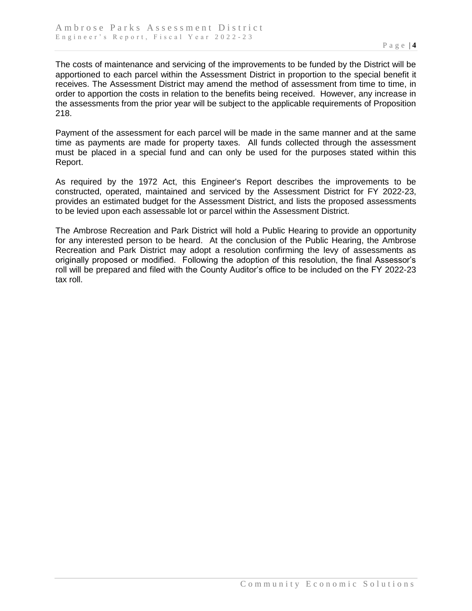The costs of maintenance and servicing of the improvements to be funded by the District will be apportioned to each parcel within the Assessment District in proportion to the special benefit it receives. The Assessment District may amend the method of assessment from time to time, in order to apportion the costs in relation to the benefits being received. However, any increase in the assessments from the prior year will be subject to the applicable requirements of Proposition 218.

Payment of the assessment for each parcel will be made in the same manner and at the same time as payments are made for property taxes. All funds collected through the assessment must be placed in a special fund and can only be used for the purposes stated within this Report.

As required by the 1972 Act, this Engineer's Report describes the improvements to be constructed, operated, maintained and serviced by the Assessment District for FY 2022-23, provides an estimated budget for the Assessment District, and lists the proposed assessments to be levied upon each assessable lot or parcel within the Assessment District.

The Ambrose Recreation and Park District will hold a Public Hearing to provide an opportunity for any interested person to be heard. At the conclusion of the Public Hearing, the Ambrose Recreation and Park District may adopt a resolution confirming the levy of assessments as originally proposed or modified. Following the adoption of this resolution, the final Assessor's roll will be prepared and filed with the County Auditor's office to be included on the FY 2022-23 tax roll.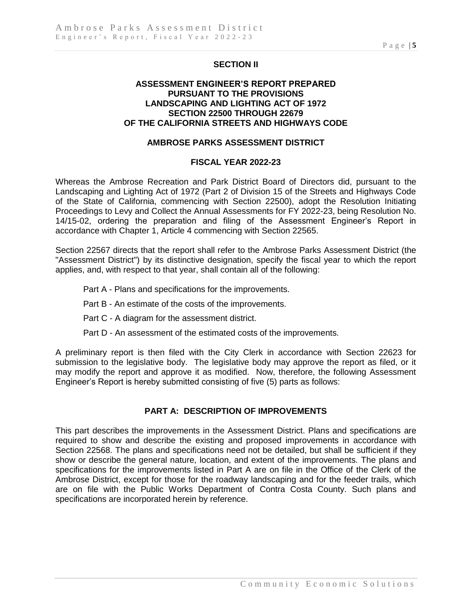## **SECTION II**

#### **ASSESSMENT ENGINEER'S REPORT PREPARED PURSUANT TO THE PROVISIONS LANDSCAPING AND LIGHTING ACT OF 1972 SECTION 22500 THROUGH 22679 OF THE CALIFORNIA STREETS AND HIGHWAYS CODE**

#### **AMBROSE PARKS ASSESSMENT DISTRICT**

#### **FISCAL YEAR 2022-23**

Whereas the Ambrose Recreation and Park District Board of Directors did, pursuant to the Landscaping and Lighting Act of 1972 (Part 2 of Division 15 of the Streets and Highways Code of the State of California, commencing with Section 22500), adopt the Resolution Initiating Proceedings to Levy and Collect the Annual Assessments for FY 2022-23, being Resolution No. 14/15-02, ordering the preparation and filing of the Assessment Engineer's Report in accordance with Chapter 1, Article 4 commencing with Section 22565.

Section 22567 directs that the report shall refer to the Ambrose Parks Assessment District (the "Assessment District") by its distinctive designation, specify the fiscal year to which the report applies, and, with respect to that year, shall contain all of the following:

- Part A Plans and specifications for the improvements.
- Part B An estimate of the costs of the improvements.
- Part C A diagram for the assessment district.
- Part D An assessment of the estimated costs of the improvements.

A preliminary report is then filed with the City Clerk in accordance with Section 22623 for submission to the legislative body. The legislative body may approve the report as filed, or it may modify the report and approve it as modified. Now, therefore, the following Assessment Engineer's Report is hereby submitted consisting of five (5) parts as follows:

#### **PART A: DESCRIPTION OF IMPROVEMENTS**

This part describes the improvements in the Assessment District. Plans and specifications are required to show and describe the existing and proposed improvements in accordance with Section 22568. The plans and specifications need not be detailed, but shall be sufficient if they show or describe the general nature, location, and extent of the improvements. The plans and specifications for the improvements listed in Part A are on file in the Office of the Clerk of the Ambrose District, except for those for the roadway landscaping and for the feeder trails, which are on file with the Public Works Department of Contra Costa County. Such plans and specifications are incorporated herein by reference.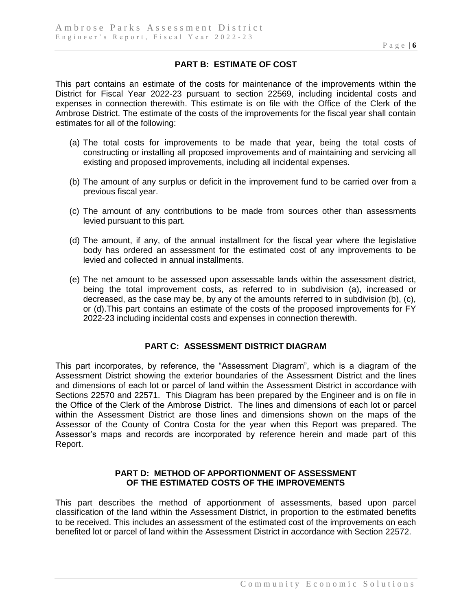## **PART B: ESTIMATE OF COST**

This part contains an estimate of the costs for maintenance of the improvements within the District for Fiscal Year 2022-23 pursuant to section 22569, including incidental costs and expenses in connection therewith. This estimate is on file with the Office of the Clerk of the Ambrose District. The estimate of the costs of the improvements for the fiscal year shall contain estimates for all of the following:

- (a) The total costs for improvements to be made that year, being the total costs of constructing or installing all proposed improvements and of maintaining and servicing all existing and proposed improvements, including all incidental expenses.
- (b) The amount of any surplus or deficit in the improvement fund to be carried over from a previous fiscal year.
- (c) The amount of any contributions to be made from sources other than assessments levied pursuant to this part.
- (d) The amount, if any, of the annual installment for the fiscal year where the legislative body has ordered an assessment for the estimated cost of any improvements to be levied and collected in annual installments.
- (e) The net amount to be assessed upon assessable lands within the assessment district, being the total improvement costs, as referred to in subdivision (a), increased or decreased, as the case may be, by any of the amounts referred to in subdivision (b), (c), or (d).This part contains an estimate of the costs of the proposed improvements for FY 2022-23 including incidental costs and expenses in connection therewith.

#### **PART C: ASSESSMENT DISTRICT DIAGRAM**

This part incorporates, by reference, the "Assessment Diagram", which is a diagram of the Assessment District showing the exterior boundaries of the Assessment District and the lines and dimensions of each lot or parcel of land within the Assessment District in accordance with Sections 22570 and 22571. This Diagram has been prepared by the Engineer and is on file in the Office of the Clerk of the Ambrose District. The lines and dimensions of each lot or parcel within the Assessment District are those lines and dimensions shown on the maps of the Assessor of the County of Contra Costa for the year when this Report was prepared. The Assessor's maps and records are incorporated by reference herein and made part of this Report.

#### **PART D: METHOD OF APPORTIONMENT OF ASSESSMENT OF THE ESTIMATED COSTS OF THE IMPROVEMENTS**

This part describes the method of apportionment of assessments, based upon parcel classification of the land within the Assessment District, in proportion to the estimated benefits to be received. This includes an assessment of the estimated cost of the improvements on each benefited lot or parcel of land within the Assessment District in accordance with Section 22572.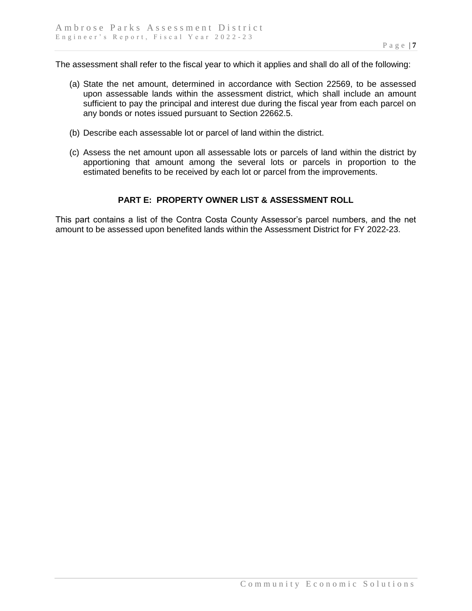The assessment shall refer to the fiscal year to which it applies and shall do all of the following:

- (a) State the net amount, determined in accordance with Section 22569, to be assessed upon assessable lands within the assessment district, which shall include an amount sufficient to pay the principal and interest due during the fiscal year from each parcel on any bonds or notes issued pursuant to Section 22662.5.
- (b) Describe each assessable lot or parcel of land within the district.
- (c) Assess the net amount upon all assessable lots or parcels of land within the district by apportioning that amount among the several lots or parcels in proportion to the estimated benefits to be received by each lot or parcel from the improvements.

#### **PART E: PROPERTY OWNER LIST & ASSESSMENT ROLL**

This part contains a list of the Contra Costa County Assessor's parcel numbers, and the net amount to be assessed upon benefited lands within the Assessment District for FY 2022-23.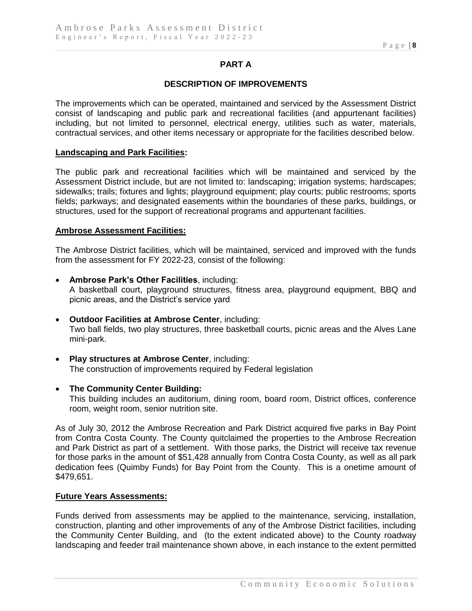## **PART A**

#### **DESCRIPTION OF IMPROVEMENTS**

The improvements which can be operated, maintained and serviced by the Assessment District consist of landscaping and public park and recreational facilities (and appurtenant facilities) including, but not limited to personnel, electrical energy, utilities such as water, materials, contractual services, and other items necessary or appropriate for the facilities described below.

#### **Landscaping and Park Facilities:**

The public park and recreational facilities which will be maintained and serviced by the Assessment District include, but are not limited to: landscaping; irrigation systems; hardscapes; sidewalks; trails; fixtures and lights; playground equipment; play courts; public restrooms; sports fields; parkways; and designated easements within the boundaries of these parks, buildings, or structures, used for the support of recreational programs and appurtenant facilities.

#### **Ambrose Assessment Facilities:**

The Ambrose District facilities, which will be maintained, serviced and improved with the funds from the assessment for FY 2022-23, consist of the following:

- **Ambrose Park's Other Facilities**, including: A basketball court, playground structures, fitness area, playground equipment, BBQ and picnic areas, and the District's service yard
- **Outdoor Facilities at Ambrose Center**, including: Two ball fields, two play structures, three basketball courts, picnic areas and the Alves Lane mini-park.
- **Play structures at Ambrose Center**, including: The construction of improvements required by Federal legislation
- **The Community Center Building:** This building includes an auditorium, dining room, board room, District offices, conference room, weight room, senior nutrition site.

As of July 30, 2012 the Ambrose Recreation and Park District acquired five parks in Bay Point from Contra Costa County. The County quitclaimed the properties to the Ambrose Recreation and Park District as part of a settlement. With those parks, the District will receive tax revenue for those parks in the amount of \$51,428 annually from Contra Costa County, as well as all park dedication fees (Quimby Funds) for Bay Point from the County. This is a onetime amount of \$479,651.

#### **Future Years Assessments:**

Funds derived from assessments may be applied to the maintenance, servicing, installation, construction, planting and other improvements of any of the Ambrose District facilities, including the Community Center Building, and (to the extent indicated above) to the County roadway landscaping and feeder trail maintenance shown above, in each instance to the extent permitted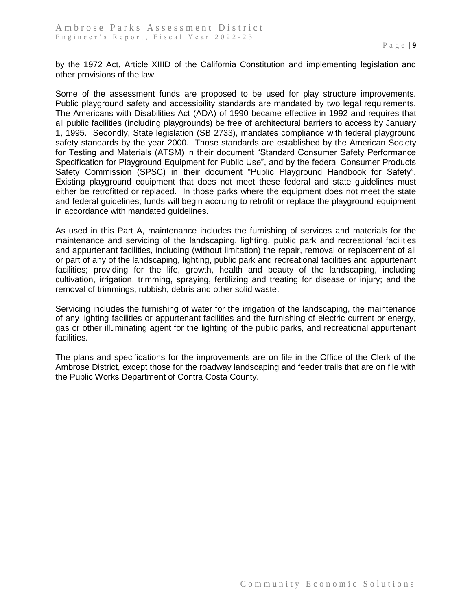by the 1972 Act, Article XIIID of the California Constitution and implementing legislation and other provisions of the law.

Some of the assessment funds are proposed to be used for play structure improvements. Public playground safety and accessibility standards are mandated by two legal requirements. The Americans with Disabilities Act (ADA) of 1990 became effective in 1992 and requires that all public facilities (including playgrounds) be free of architectural barriers to access by January 1, 1995. Secondly, State legislation (SB 2733), mandates compliance with federal playground safety standards by the year 2000. Those standards are established by the American Society for Testing and Materials (ATSM) in their document "Standard Consumer Safety Performance Specification for Playground Equipment for Public Use", and by the federal Consumer Products Safety Commission (SPSC) in their document "Public Playground Handbook for Safety". Existing playground equipment that does not meet these federal and state guidelines must either be retrofitted or replaced. In those parks where the equipment does not meet the state and federal guidelines, funds will begin accruing to retrofit or replace the playground equipment in accordance with mandated guidelines.

As used in this Part A, maintenance includes the furnishing of services and materials for the maintenance and servicing of the landscaping, lighting, public park and recreational facilities and appurtenant facilities, including (without limitation) the repair, removal or replacement of all or part of any of the landscaping, lighting, public park and recreational facilities and appurtenant facilities; providing for the life, growth, health and beauty of the landscaping, including cultivation, irrigation, trimming, spraying, fertilizing and treating for disease or injury; and the removal of trimmings, rubbish, debris and other solid waste.

Servicing includes the furnishing of water for the irrigation of the landscaping, the maintenance of any lighting facilities or appurtenant facilities and the furnishing of electric current or energy, gas or other illuminating agent for the lighting of the public parks, and recreational appurtenant facilities.

The plans and specifications for the improvements are on file in the Office of the Clerk of the Ambrose District, except those for the roadway landscaping and feeder trails that are on file with the Public Works Department of Contra Costa County.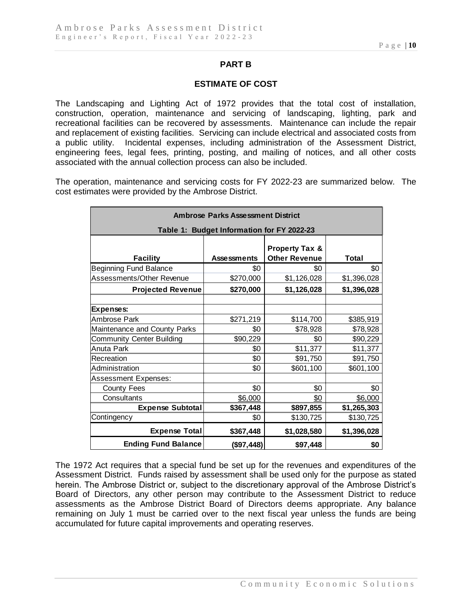## **PART B**

#### **ESTIMATE OF COST**

The Landscaping and Lighting Act of 1972 provides that the total cost of installation, construction, operation, maintenance and servicing of landscaping, lighting, park and recreational facilities can be recovered by assessments. Maintenance can include the repair and replacement of existing facilities. Servicing can include electrical and associated costs from a public utility. Incidental expenses, including administration of the Assessment District, engineering fees, legal fees, printing, posting, and mailing of notices, and all other costs associated with the annual collection process can also be included.

The operation, maintenance and servicing costs for FY 2022-23 are summarized below. The cost estimates were provided by the Ambrose District.

| <b>Ambrose Parks Assessment District</b>   |                    |                                                   |             |  |  |  |  |
|--------------------------------------------|--------------------|---------------------------------------------------|-------------|--|--|--|--|
| Table 1: Budget Information for FY 2022-23 |                    |                                                   |             |  |  |  |  |
| <b>Facility</b>                            | <b>Assessments</b> | <b>Property Tax &amp;</b><br><b>Other Revenue</b> | Total       |  |  |  |  |
| Beginning Fund Balance                     | \$0                | \$0                                               | \$0         |  |  |  |  |
| Assessments/Other Revenue                  | \$270,000          | \$1,126,028                                       | \$1,396,028 |  |  |  |  |
| <b>Projected Revenue</b>                   | \$270,000          | \$1,126,028                                       | \$1,396,028 |  |  |  |  |
|                                            |                    |                                                   |             |  |  |  |  |
| Expenses:                                  |                    |                                                   |             |  |  |  |  |
| Ambrose Park                               | \$271,219          | \$114,700                                         | \$385,919   |  |  |  |  |
| Maintenance and County Parks               | \$0                | \$78,928                                          | \$78,928    |  |  |  |  |
| <b>Community Center Building</b>           | \$90,229           | \$0                                               | \$90,229    |  |  |  |  |
| Anuta Park                                 | \$0                | \$11,377                                          | \$11,377    |  |  |  |  |
| Recreation                                 | \$0                | \$91,750                                          | \$91,750    |  |  |  |  |
| Administration                             | \$0                | \$601,100                                         | \$601,100   |  |  |  |  |
| <b>Assessment Expenses:</b>                |                    |                                                   |             |  |  |  |  |
| <b>County Fees</b>                         | \$0                | \$0                                               | \$0         |  |  |  |  |
| Consultants                                | \$6,000            | <u>\$0</u>                                        | \$6,000     |  |  |  |  |
| <b>Expense Subtotal</b>                    | \$367,448          | \$897,855                                         | \$1,265,303 |  |  |  |  |
| Contingency                                | \$0                | \$130,725                                         | \$130,725   |  |  |  |  |
| <b>Expense Total</b>                       | \$367,448          | \$1,028,580                                       | \$1,396,028 |  |  |  |  |
| <b>Ending Fund Balance</b>                 | (\$97,448)         | \$97,448                                          | \$0         |  |  |  |  |

The 1972 Act requires that a special fund be set up for the revenues and expenditures of the Assessment District. Funds raised by assessment shall be used only for the purpose as stated herein. The Ambrose District or, subject to the discretionary approval of the Ambrose District's Board of Directors, any other person may contribute to the Assessment District to reduce assessments as the Ambrose District Board of Directors deems appropriate. Any balance remaining on July 1 must be carried over to the next fiscal year unless the funds are being accumulated for future capital improvements and operating reserves.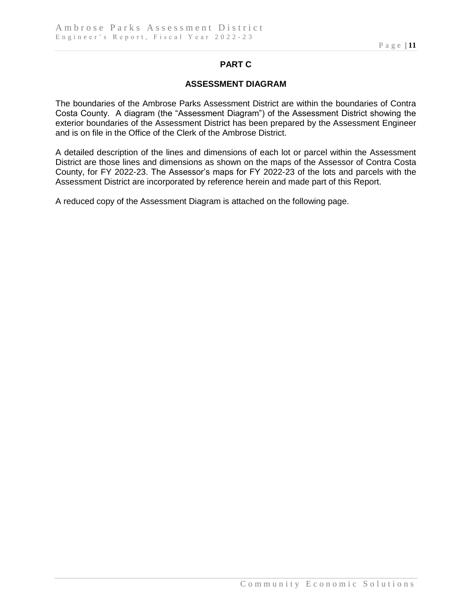# **PART C**

### **ASSESSMENT DIAGRAM**

The boundaries of the Ambrose Parks Assessment District are within the boundaries of Contra Costa County. A diagram (the "Assessment Diagram") of the Assessment District showing the exterior boundaries of the Assessment District has been prepared by the Assessment Engineer and is on file in the Office of the Clerk of the Ambrose District.

A detailed description of the lines and dimensions of each lot or parcel within the Assessment District are those lines and dimensions as shown on the maps of the Assessor of Contra Costa County, for FY 2022-23. The Assessor's maps for FY 2022-23 of the lots and parcels with the Assessment District are incorporated by reference herein and made part of this Report.

A reduced copy of the Assessment Diagram is attached on the following page.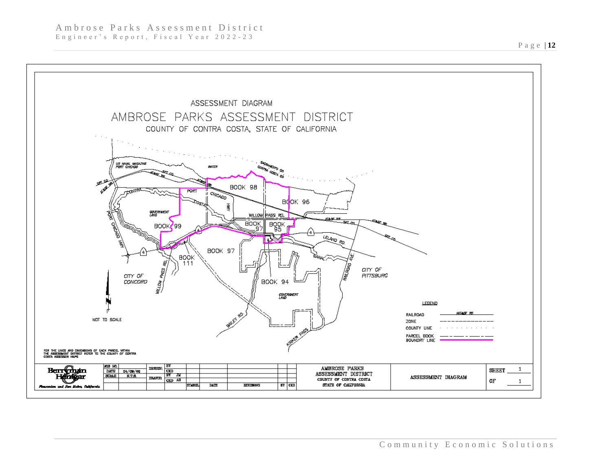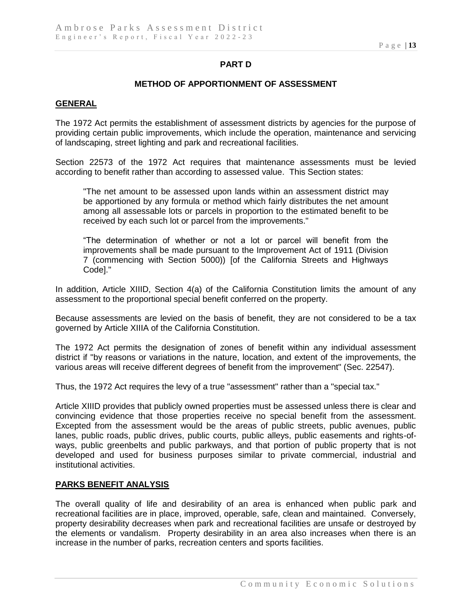## **PART D**

#### **METHOD OF APPORTIONMENT OF ASSESSMENT**

#### **GENERAL**

The 1972 Act permits the establishment of assessment districts by agencies for the purpose of providing certain public improvements, which include the operation, maintenance and servicing of landscaping, street lighting and park and recreational facilities.

Section 22573 of the 1972 Act requires that maintenance assessments must be levied according to benefit rather than according to assessed value. This Section states:

"The net amount to be assessed upon lands within an assessment district may be apportioned by any formula or method which fairly distributes the net amount among all assessable lots or parcels in proportion to the estimated benefit to be received by each such lot or parcel from the improvements."

"The determination of whether or not a lot or parcel will benefit from the improvements shall be made pursuant to the Improvement Act of 1911 (Division 7 (commencing with Section 5000)) [of the California Streets and Highways Code]."

In addition, Article XIIID, Section 4(a) of the California Constitution limits the amount of any assessment to the proportional special benefit conferred on the property.

Because assessments are levied on the basis of benefit, they are not considered to be a tax governed by Article XIIIA of the California Constitution.

The 1972 Act permits the designation of zones of benefit within any individual assessment district if "by reasons or variations in the nature, location, and extent of the improvements, the various areas will receive different degrees of benefit from the improvement" (Sec. 22547).

Thus, the 1972 Act requires the levy of a true "assessment" rather than a "special tax."

Article XIIID provides that publicly owned properties must be assessed unless there is clear and convincing evidence that those properties receive no special benefit from the assessment. Excepted from the assessment would be the areas of public streets, public avenues, public lanes, public roads, public drives, public courts, public alleys, public easements and rights-ofways, public greenbelts and public parkways, and that portion of public property that is not developed and used for business purposes similar to private commercial, industrial and institutional activities.

#### **PARKS BENEFIT ANALYSIS**

The overall quality of life and desirability of an area is enhanced when public park and recreational facilities are in place, improved, operable, safe, clean and maintained. Conversely, property desirability decreases when park and recreational facilities are unsafe or destroyed by the elements or vandalism. Property desirability in an area also increases when there is an increase in the number of parks, recreation centers and sports facilities.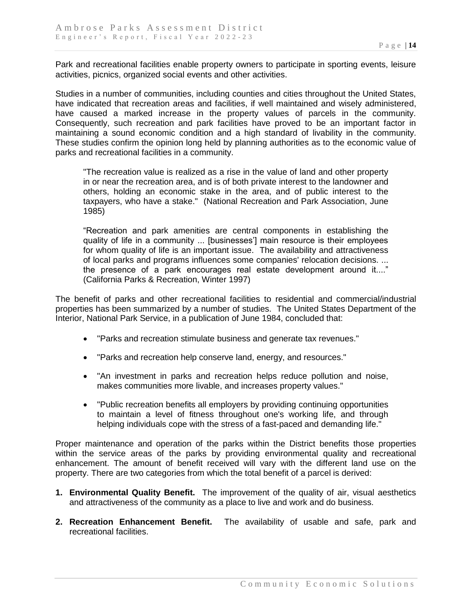Park and recreational facilities enable property owners to participate in sporting events, leisure activities, picnics, organized social events and other activities.

Studies in a number of communities, including counties and cities throughout the United States, have indicated that recreation areas and facilities, if well maintained and wisely administered, have caused a marked increase in the property values of parcels in the community. Consequently, such recreation and park facilities have proved to be an important factor in maintaining a sound economic condition and a high standard of livability in the community. These studies confirm the opinion long held by planning authorities as to the economic value of parks and recreational facilities in a community.

"The recreation value is realized as a rise in the value of land and other property in or near the recreation area, and is of both private interest to the landowner and others, holding an economic stake in the area, and of public interest to the taxpayers, who have a stake." (National Recreation and Park Association, June 1985)

"Recreation and park amenities are central components in establishing the quality of life in a community ... [businesses'] main resource is their employees for whom quality of life is an important issue. The availability and attractiveness of local parks and programs influences some companies' relocation decisions. ... the presence of a park encourages real estate development around it...." (California Parks & Recreation, Winter 1997)

The benefit of parks and other recreational facilities to residential and commercial/industrial properties has been summarized by a number of studies. The United States Department of the Interior, National Park Service, in a publication of June 1984, concluded that:

- "Parks and recreation stimulate business and generate tax revenues."
- "Parks and recreation help conserve land, energy, and resources."
- "An investment in parks and recreation helps reduce pollution and noise, makes communities more livable, and increases property values."
- "Public recreation benefits all employers by providing continuing opportunities to maintain a level of fitness throughout one's working life, and through helping individuals cope with the stress of a fast-paced and demanding life."

Proper maintenance and operation of the parks within the District benefits those properties within the service areas of the parks by providing environmental quality and recreational enhancement. The amount of benefit received will vary with the different land use on the property. There are two categories from which the total benefit of a parcel is derived:

- **1. Environmental Quality Benefit.** The improvement of the quality of air, visual aesthetics and attractiveness of the community as a place to live and work and do business.
- **2. Recreation Enhancement Benefit.** The availability of usable and safe, park and recreational facilities.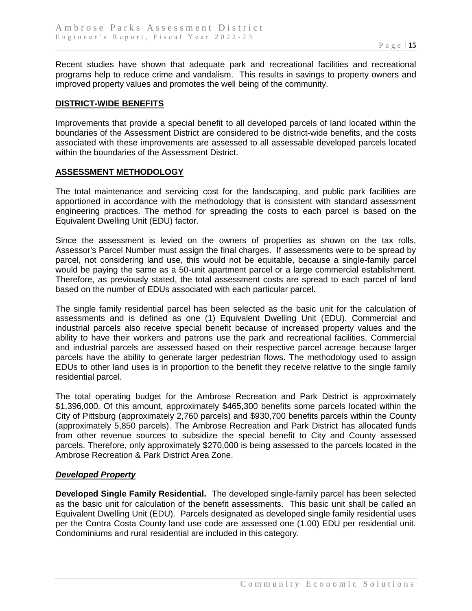Recent studies have shown that adequate park and recreational facilities and recreational programs help to reduce crime and vandalism. This results in savings to property owners and improved property values and promotes the well being of the community.

#### **DISTRICT-WIDE BENEFITS**

Improvements that provide a special benefit to all developed parcels of land located within the boundaries of the Assessment District are considered to be district-wide benefits, and the costs associated with these improvements are assessed to all assessable developed parcels located within the boundaries of the Assessment District.

#### **ASSESSMENT METHODOLOGY**

The total maintenance and servicing cost for the landscaping, and public park facilities are apportioned in accordance with the methodology that is consistent with standard assessment engineering practices. The method for spreading the costs to each parcel is based on the Equivalent Dwelling Unit (EDU) factor.

Since the assessment is levied on the owners of properties as shown on the tax rolls, Assessor's Parcel Number must assign the final charges. If assessments were to be spread by parcel, not considering land use, this would not be equitable, because a single-family parcel would be paying the same as a 50-unit apartment parcel or a large commercial establishment. Therefore, as previously stated, the total assessment costs are spread to each parcel of land based on the number of EDUs associated with each particular parcel.

The single family residential parcel has been selected as the basic unit for the calculation of assessments and is defined as one (1) Equivalent Dwelling Unit (EDU). Commercial and industrial parcels also receive special benefit because of increased property values and the ability to have their workers and patrons use the park and recreational facilities. Commercial and industrial parcels are assessed based on their respective parcel acreage because larger parcels have the ability to generate larger pedestrian flows. The methodology used to assign EDUs to other land uses is in proportion to the benefit they receive relative to the single family residential parcel.

The total operating budget for the Ambrose Recreation and Park District is approximately \$1,396,000. Of this amount, approximately \$465,300 benefits some parcels located within the City of Pittsburg (approximately 2,760 parcels) and \$930,700 benefits parcels within the County (approximately 5,850 parcels). The Ambrose Recreation and Park District has allocated funds from other revenue sources to subsidize the special benefit to City and County assessed parcels. Therefore, only approximately \$270,000 is being assessed to the parcels located in the Ambrose Recreation & Park District Area Zone.

#### *Developed Property*

**Developed Single Family Residential.** The developed single-family parcel has been selected as the basic unit for calculation of the benefit assessments. This basic unit shall be called an Equivalent Dwelling Unit (EDU). Parcels designated as developed single family residential uses per the Contra Costa County land use code are assessed one (1.00) EDU per residential unit. Condominiums and rural residential are included in this category.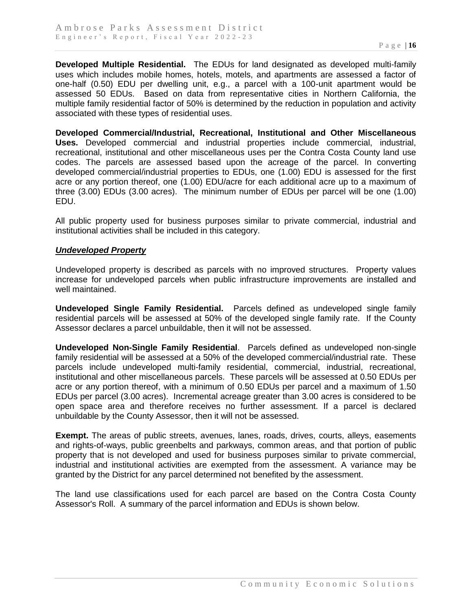**Developed Multiple Residential.** The EDUs for land designated as developed multi-family uses which includes mobile homes, hotels, motels, and apartments are assessed a factor of one-half (0.50) EDU per dwelling unit, e.g., a parcel with a 100-unit apartment would be assessed 50 EDUs. Based on data from representative cities in Northern California, the multiple family residential factor of 50% is determined by the reduction in population and activity associated with these types of residential uses.

**Developed Commercial/Industrial, Recreational, Institutional and Other Miscellaneous Uses.** Developed commercial and industrial properties include commercial, industrial, recreational, institutional and other miscellaneous uses per the Contra Costa County land use codes. The parcels are assessed based upon the acreage of the parcel. In converting developed commercial/industrial properties to EDUs, one (1.00) EDU is assessed for the first acre or any portion thereof, one (1.00) EDU/acre for each additional acre up to a maximum of three (3.00) EDUs (3.00 acres). The minimum number of EDUs per parcel will be one (1.00) EDU.

All public property used for business purposes similar to private commercial, industrial and institutional activities shall be included in this category.

#### *Undeveloped Property*

Undeveloped property is described as parcels with no improved structures. Property values increase for undeveloped parcels when public infrastructure improvements are installed and well maintained.

**Undeveloped Single Family Residential.** Parcels defined as undeveloped single family residential parcels will be assessed at 50% of the developed single family rate. If the County Assessor declares a parcel unbuildable, then it will not be assessed.

**Undeveloped Non-Single Family Residential**. Parcels defined as undeveloped non-single family residential will be assessed at a 50% of the developed commercial/industrial rate. These parcels include undeveloped multi-family residential, commercial, industrial, recreational, institutional and other miscellaneous parcels. These parcels will be assessed at 0.50 EDUs per acre or any portion thereof, with a minimum of 0.50 EDUs per parcel and a maximum of 1.50 EDUs per parcel (3.00 acres). Incremental acreage greater than 3.00 acres is considered to be open space area and therefore receives no further assessment. If a parcel is declared unbuildable by the County Assessor, then it will not be assessed.

**Exempt.** The areas of public streets, avenues, lanes, roads, drives, courts, alleys, easements and rights-of-ways, public greenbelts and parkways, common areas, and that portion of public property that is not developed and used for business purposes similar to private commercial, industrial and institutional activities are exempted from the assessment. A variance may be granted by the District for any parcel determined not benefited by the assessment.

The land use classifications used for each parcel are based on the Contra Costa County Assessor's Roll. A summary of the parcel information and EDUs is shown below.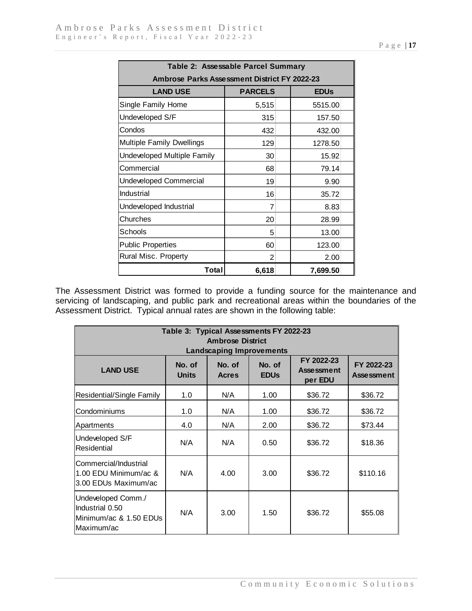| Table 2: Assessable Parcel Summary                  |                |             |  |  |  |  |  |
|-----------------------------------------------------|----------------|-------------|--|--|--|--|--|
| <b>Ambrose Parks Assessment District FY 2022-23</b> |                |             |  |  |  |  |  |
| <b>LAND USE</b>                                     | <b>PARCELS</b> | <b>EDUs</b> |  |  |  |  |  |
| Single Family Home                                  | 5,515          | 5515.00     |  |  |  |  |  |
| Undeveloped S/F                                     | 315            | 157.50      |  |  |  |  |  |
| Condos                                              | 432            | 432.00      |  |  |  |  |  |
| <b>Multiple Family Dwellings</b>                    | 129            | 1278.50     |  |  |  |  |  |
| Undeveloped Multiple Family                         | 30             | 15.92       |  |  |  |  |  |
| Commercial                                          | 68             | 79.14       |  |  |  |  |  |
| <b>Undeveloped Commercial</b>                       | 19             | 9.90        |  |  |  |  |  |
| Industrial                                          | 16             | 35.72       |  |  |  |  |  |
| Undeveloped Industrial                              | 7              | 8.83        |  |  |  |  |  |
| Churches                                            | 20             | 28.99       |  |  |  |  |  |
| Schools                                             | 5              | 13.00       |  |  |  |  |  |
| <b>Public Properties</b>                            | 60             | 123.00      |  |  |  |  |  |
| Rural Misc. Property                                | $\overline{2}$ | 2.00        |  |  |  |  |  |
| Total                                               | 6,618          | 7,699.50    |  |  |  |  |  |

The Assessment District was formed to provide a funding source for the maintenance and servicing of landscaping, and public park and recreational areas within the boundaries of the Assessment District. Typical annual rates are shown in the following table:

| Table 3: Typical Assessments FY 2022-23<br><b>Ambrose District</b><br><b>Landscaping Improvements</b> |                        |                        |                                  |                                            |                                 |  |  |  |
|-------------------------------------------------------------------------------------------------------|------------------------|------------------------|----------------------------------|--------------------------------------------|---------------------------------|--|--|--|
| <b>LAND USE</b>                                                                                       | No. of<br><b>Units</b> | No. of<br><b>Acres</b> | No. of<br><b>EDU<sub>s</sub></b> | FY 2022-23<br><b>Assessment</b><br>per EDU | FY 2022-23<br><b>Assessment</b> |  |  |  |
| Residential/Single Family                                                                             | 1.0                    | N/A                    | 1.00                             | \$36.72                                    | \$36.72                         |  |  |  |
| Condominiums                                                                                          | 1.0                    | N/A                    | 1.00                             | \$36.72                                    | \$36.72                         |  |  |  |
| Apartments                                                                                            | 4.0                    | N/A                    | 2.00                             | \$36.72                                    | \$73.44                         |  |  |  |
| Undeveloped S/F<br>Residential                                                                        | N/A                    | N/A                    | 0.50                             | \$36.72                                    | \$18.36                         |  |  |  |
| Commercial/Industrial<br>1.00 EDU Minimum/ac &<br>3.00 EDUs Maximum/ac                                | N/A                    | 4.00                   | 3.00                             | \$36.72                                    | \$110.16                        |  |  |  |
| Undeveloped Comm./<br>Industrial 0.50<br>lMinimum/ac & 1.50 EDUs<br>lMaximum/ac                       | N/A                    | 3.00                   | 1.50                             | \$36.72                                    | \$55.08                         |  |  |  |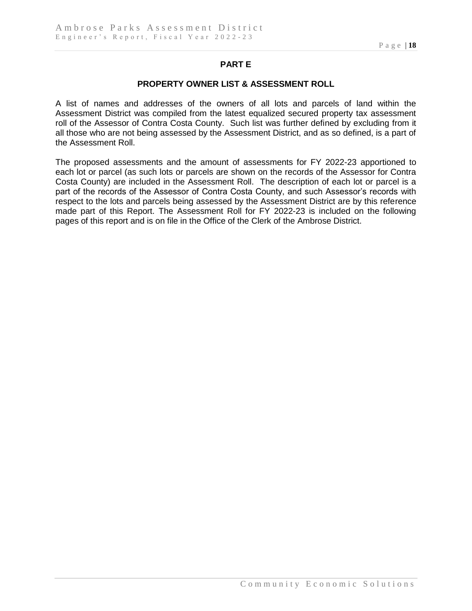## **PART E**

#### **PROPERTY OWNER LIST & ASSESSMENT ROLL**

A list of names and addresses of the owners of all lots and parcels of land within the Assessment District was compiled from the latest equalized secured property tax assessment roll of the Assessor of Contra Costa County. Such list was further defined by excluding from it all those who are not being assessed by the Assessment District, and as so defined, is a part of the Assessment Roll.

The proposed assessments and the amount of assessments for FY 2022-23 apportioned to each lot or parcel (as such lots or parcels are shown on the records of the Assessor for Contra Costa County) are included in the Assessment Roll. The description of each lot or parcel is a part of the records of the Assessor of Contra Costa County, and such Assessor's records with respect to the lots and parcels being assessed by the Assessment District are by this reference made part of this Report. The Assessment Roll for FY 2022-23 is included on the following pages of this report and is on file in the Office of the Clerk of the Ambrose District.